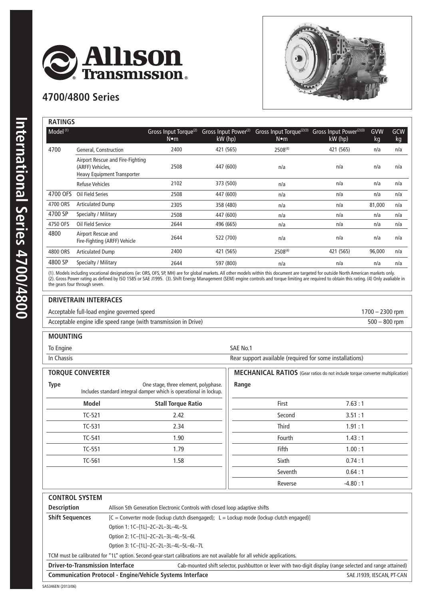

## **4700/4800 Series**



| <b>RATINGS</b>       |                                                                                            |                                          |                                               |                                                       |                                                  |           |                  |
|----------------------|--------------------------------------------------------------------------------------------|------------------------------------------|-----------------------------------------------|-------------------------------------------------------|--------------------------------------------------|-----------|------------------|
| Model <sup>(1)</sup> |                                                                                            | Gross Input Torque <sup>(2)</sup><br>N∙m | Gross Input Power <sup>(2)</sup><br>$kW$ (hp) | Gross Input Torque <sup>(2)(3)</sup><br>$N \bullet m$ | Gross Input Power <sup>(2)(3)</sup><br>$kW$ (hp) | GVW<br>kg | <b>GCW</b><br>kg |
| 4700                 | General, Construction                                                                      | 2400                                     | 421 (565)                                     | $2508^{(4)}$                                          | 421 (565)                                        | n/a       | n/a              |
|                      | Airport Rescue and Fire-Fighting<br>(ARFF) Vehicles,<br><b>Heavy Equipment Transporter</b> | 2508                                     | 447 (600)                                     | n/a                                                   | n/a                                              | n/a       | n/a              |
|                      | <b>Refuse Vehicles</b>                                                                     | 2102                                     | 373 (500)                                     | n/a                                                   | n/a                                              | n/a       | n/a              |
| 4700 OFS             | Oil Field Series                                                                           | 2508                                     | 447 (600)                                     | n/a                                                   | n/a                                              | n/a       | n/a              |
| 4700 ORS             | <b>Articulated Dump</b>                                                                    | 2305                                     | 358 (480)                                     | n/a                                                   | n/a                                              | 81,000    | n/a              |
| 4700 SP              | Specialty / Military                                                                       | 2508                                     | 447 (600)                                     | n/a                                                   | n/a                                              | n/a       | n/a              |
| 4750 OFS             | Oil Field Service                                                                          | 2644                                     | 496 (665)                                     | n/a                                                   | n/a                                              | n/a       | n/a              |
| 4800                 | Airport Rescue and<br>Fire-Fighting (ARFF) Vehicle                                         | 2644                                     | 522 (700)                                     | n/a                                                   | n/a                                              | n/a       | n/a              |
| 4800 ORS             | <b>Articulated Dump</b>                                                                    | 2400                                     | 421 (565)                                     | $2508^{(4)}$                                          | 421 (565)                                        | 96,000    | n/a              |
| 4800 SP              | Specialty / Military                                                                       | 2644                                     | 597 (800)                                     | n/a                                                   | n/a                                              | n/a       | n/a              |
|                      |                                                                                            |                                          |                                               |                                                       |                                                  |           |                  |

(1). Models including vocational designations (ie: ORS, OFS, SP, MH) are for global markets. All other models within this document are targeted for outside North American markets only. (2). Gross Power rating as defined by ISO 1585 or SAE J1995. (3). Shift Energy Management (SEM) engine controls and torque limiting are required to obtain this rating. (4) Only avaliable in the gears four through seven.

## **DRIVETRAIN INTERFACES**

Acceptable full-load engine governed speed 1700 – 2300 rpm

Acceptable engine idle speed range (with transmission in Drive) 500 – 800 rpm

## **MOUNTING**

To Engine SAE No.1

In Chassis **In Chassis** Rear support available (required for some installations)

| <b>TORQUE CONVERTER</b>                                                                                                  |  |                           | <b>MECHANICAL RATIOS</b> (Gear ratios do not include torque converter multiplication) |              |           |
|--------------------------------------------------------------------------------------------------------------------------|--|---------------------------|---------------------------------------------------------------------------------------|--------------|-----------|
| <b>Type</b><br>One stage, three element, polyphase.<br>Includes standard integral damper which is operational in lockup. |  | Range                     |                                                                                       |              |           |
| <b>Model</b>                                                                                                             |  | <b>Stall Torque Ratio</b> |                                                                                       | First        | 7.63:1    |
| $TC-521$                                                                                                                 |  | 2.42                      |                                                                                       | Second       | 3.51:1    |
| TC-531                                                                                                                   |  | 2.34                      |                                                                                       | <b>Third</b> | 1.91:1    |
| TC-541                                                                                                                   |  | 1.90                      |                                                                                       | Fourth       | 1.43:1    |
| TC-551                                                                                                                   |  | 1.79                      |                                                                                       | Fifth        | 1.00:1    |
| TC-561                                                                                                                   |  | 1.58                      |                                                                                       | Sixth        | 0.74:1    |
|                                                                                                                          |  |                           |                                                                                       | Seventh      | 0.64:1    |
|                                                                                                                          |  |                           |                                                                                       | Reverse      | $-4.80:1$ |

| <b>CONTROL SYSTEM</b>                                                                                                  |                                                                                            |                                                                                                            |  |  |  |
|------------------------------------------------------------------------------------------------------------------------|--------------------------------------------------------------------------------------------|------------------------------------------------------------------------------------------------------------|--|--|--|
| <b>Description</b>                                                                                                     | Allison 5th Generation Electronic Controls with closed loop adaptive shifts                |                                                                                                            |  |  |  |
| <b>Shift Sequences</b>                                                                                                 | $[C = Converter mode (lockup clutch disengaged); L = Lockup mode (lockup clutch engaged)]$ |                                                                                                            |  |  |  |
|                                                                                                                        | Option 1: 1C-[1L]-2C-2L-3L-4L-5L                                                           |                                                                                                            |  |  |  |
|                                                                                                                        | Option 2: 1C-[1L]-2C-2L-3L-4L-5L-6L                                                        |                                                                                                            |  |  |  |
|                                                                                                                        | Option 3: 1C-[1L]-2C-2L-3L-4L-5L-6L-7L                                                     |                                                                                                            |  |  |  |
| TCM must be calibrated for "1L" option. Second-gear-start calibrations are not available for all vehicle applications. |                                                                                            |                                                                                                            |  |  |  |
| <b>Driver-to-Transmission Interface</b>                                                                                |                                                                                            | Cab-mounted shift selector, pushbutton or lever with two-digit display (range selected and range attained) |  |  |  |
| <b>Communication Protocol - Engine/Vehicle Systems Interface</b><br>SAE J1939, IESCAN, PT-CAN                          |                                                                                            |                                                                                                            |  |  |  |